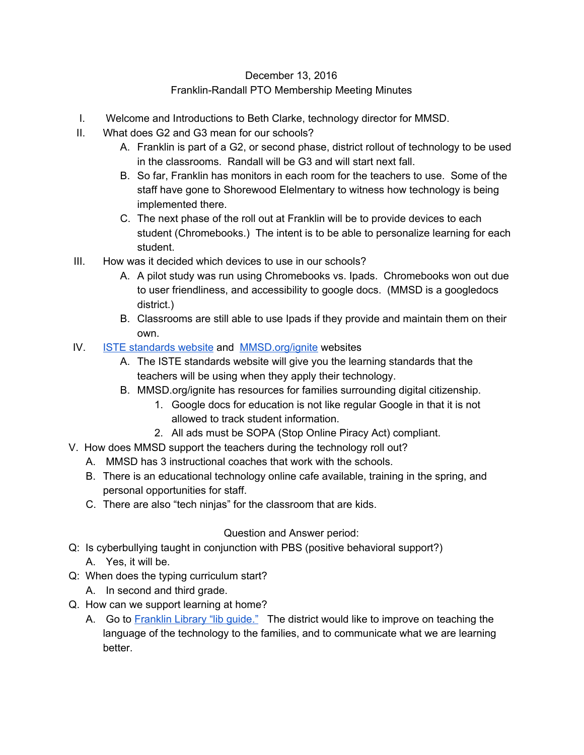## December 13, 2016 Franklin-Randall PTO Membership Meeting Minutes

- I. Welcome and Introductions to Beth Clarke, technology director for MMSD.
- II. What does G2 and G3 mean for our schools?
	- A. Franklin is part of a G2, or second phase, district rollout of technology to be used in the classrooms. Randall will be G3 and will start next fall.
	- B. So far, Franklin has monitors in each room for the teachers to use. Some of the staff have gone to Shorewood Elelmentary to witness how technology is being implemented there.
	- C. The next phase of the roll out at Franklin will be to provide devices to each student (Chromebooks.) The intent is to be able to personalize learning for each student.
- III. How was it decided which devices to use in our schools?
	- A. A pilot study was run using Chromebooks vs. Ipads. Chromebooks won out due to user friendliness, and accessibility to google docs. (MMSD is a googledocs district.)
	- B. Classrooms are still able to use Ipads if they provide and maintain them on their own.
- IV. [ISTE standards website](http://www.iste.org/standards/standards/iste-standards) and [MMSD.org/ignite](https://technology.madison.k12.wi.us/ignite-home) websites
	- A. The ISTE standards website will give you the learning standards that the teachers will be using when they apply their technology.
	- B. MMSD.org/ignite has resources for families surrounding digital citizenship.
		- 1. Google docs for education is not like regular Google in that it is not allowed to track student information.
		- 2. All ads must be SOPA (Stop Online Piracy Act) compliant.
- V. How does MMSD support the teachers during the technology roll out?
	- A. MMSD has 3 instructional coaches that work with the schools.
	- B. There is an educational technology online cafe available, training in the spring, and personal opportunities for staff.
	- C. There are also "tech ninjas" for the classroom that are kids.

## Question and Answer period:

- Q: Is cyberbullying taught in conjunction with PBS (positive behavioral support?) A. Yes, it will be.
- Q: When does the typing curriculum start?
	- A. In second and third grade.
- Q. How can we support learning at home?
	- A. Go to [Franklin Library "lib](http://madison.campusguides.com/c.php?g=390135) guide." The district would like to improve on teaching the language of the technology to the families, and to communicate what we are learning better.